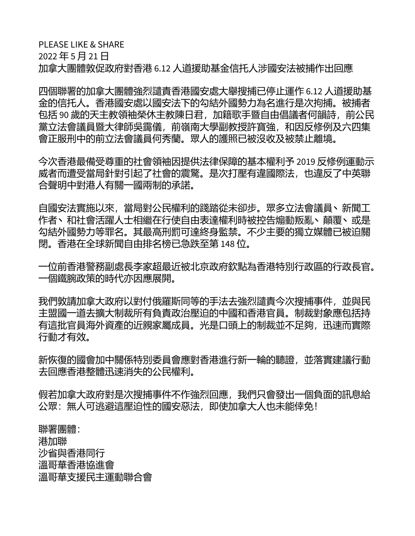PLEASE LIKE & SHARE 2022 年 5 月 21 日 加拿大團體敦促政府對香港 6.12 人道援助基金信托人涉國安法被捕作出回應

四個聯署的加拿大團體強烈譴責香港國安處大舉搜捕已停止運作 6.12 人道援助基 金的信托人。香港國安處以國安法下的勾結外國勢力為名進行是次拘捕。被捕者 包括 90 歲的天主教領袖榮休主教陳日君, 加籍歌手暨自由倡議者何韻詩, 前公民 黨立法會議員暨大律師吳靄儀,前嶺南大學副教授許寶強,和因反修例及六四集 會正服刑中的前立法會議員何秀蘭。眾人的護照已被沒收及被禁止離境。

今次香港最備受尊重的社會領袖因提供法律保障的基本權利予 2019 反修例運動示 威者而遭受當局針對引起了社會的震驚。是次打壓有違國際法,也違反了中英聯 合聲明中對港人有關一國兩制的承諾。

自國安法實施以來,當局對公民權利的踐踏從未卻步。眾多立法會議員丶新聞工 作者、和社會活躍人士相繼在行使自由表達權利時被控告煽動叛亂、顛覆、或是 勾結外國勢力等罪名。其最高刑罰可達終身監禁。不少主要的獨立媒體已被迫關 閉。香港在全球新聞自由排名榜已急跌至第 148 位。

一位前香港警務副處長李家超最近被北京政府欽點為香港特別行政區的行政長官。 一個鐵腕政策的時代亦因應展開。

我們敦請加拿大政府以對付俄羅斯同等的手法去強烈譴責今次搜捕事件,並與民 主盟國一道去擴大制裁所有負責政治壓迫的中國和香港官員。制裁對象應包括持 有這批官員海外資產的近親家屬成員。光是口頭上的制裁並不足夠,迅速而實際 行動才有效。

新恢復的國會加中關係特別委員會應對香港進行新一輪的聽證,並落實建議行動 去回應香港整體迅速消失的公民權利。

假若加拿大政府對是次搜捕事件不作強烈回應,我們只會發出一個負面的訊息給 公眾:無人可逃避這壓迫性的國安惡法,即使加拿大人也未能倖免!

聯署團體: 港加聯 沙省與香港同行 溫哥華香港協進會 溫哥華支援民主運動聯合會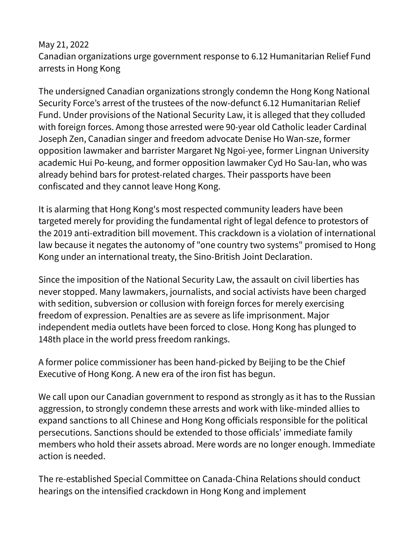## May 21, 2022 Canadian organizations urge government response to 6.12 Humanitarian Relief Fund arrests in Hong Kong

The undersigned Canadian organizations strongly condemn the Hong Kong National Security Force's arrest of the trustees of the now-defunct 6.12 Humanitarian Relief Fund. Under provisions of the National Security Law, it is alleged that they colluded with foreign forces. Among those arrested were 90-year old Catholic leader Cardinal Joseph Zen, Canadian singer and freedom advocate Denise Ho Wan-sze, former opposition lawmaker and barrister Margaret Ng Ngoi-yee, former Lingnan University academic Hui Po-keung, and former opposition lawmaker Cyd Ho Sau-lan, who was already behind bars for protest-related charges. Their passports have been confiscated and they cannot leave Hong Kong.

It is alarming that Hong Kong's most respected community leaders have been targeted merely for providing the fundamental right of legal defence to protestors of the 2019 anti-extradition bill movement. This crackdown is a violation of international law because it negates the autonomy of "one country two systems" promised to Hong Kong under an international treaty, the Sino-British Joint Declaration.

Since the imposition of the National Security Law, the assault on civil liberties has never stopped. Many lawmakers, journalists, and social activists have been charged with sedition, subversion or collusion with foreign forces for merely exercising freedom of expression. Penalties are as severe as life imprisonment. Major independent media outlets have been forced to close. Hong Kong has plunged to 148th place in the world press freedom rankings.

A former police commissioner has been hand-picked by Beijing to be the Chief Executive of Hong Kong. A new era of the iron fist has begun.

We call upon our Canadian government to respond as strongly as it has to the Russian aggression, to strongly condemn these arrests and work with like-minded allies to expand sanctions to all Chinese and Hong Kong officials responsible for the political persecutions. Sanctions should be extended to those officials' immediate family members who hold their assets abroad. Mere words are no longer enough. Immediate action is needed.

The re-established Special Committee on Canada-China Relations should conduct hearings on the intensified crackdown in Hong Kong and implement